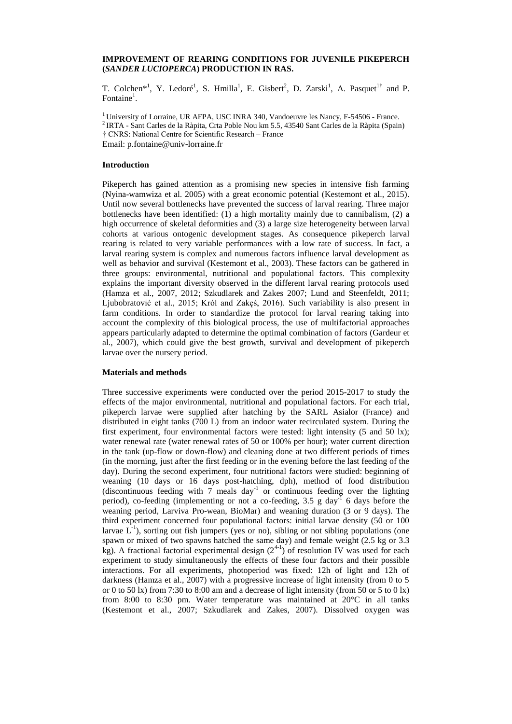# **IMPROVEMENT OF REARING CONDITIONS FOR JUVENILE PIKEPERCH (***SANDER LUCIOPERCA***) PRODUCTION IN RAS.**

T. Colchen<sup>\*1</sup>, Y. Ledoré<sup>1</sup>, S. Hmilla<sup>1</sup>, E. Gisbert<sup>2</sup>, D. Zarski<sup>1</sup>, A. Pasquet<sup>1†</sup> and P. Fontaine<sup>1</sup>.

<sup>1</sup> University of Lorraine, UR AFPA, USC INRA 340, Vandoeuvre les Nancy, F-54506 - France. <sup>2</sup> IRTA - Sant Carles de la Ràpita, Crta Poble Nou km 5.5, 43540 Sant Carles de la Ràpita (Spain) † CNRS: National Centre for Scientific Research – France Email: p.fontaine@univ-lorraine.fr

### **Introduction**

Pikeperch has gained attention as a promising new species in intensive fish farming (Nyina-wamwiza et al. 2005) with a great economic potential (Kestemont et al., 2015). Until now several bottlenecks have prevented the success of larval rearing. Three major bottlenecks have been identified: (1) a high mortality mainly due to cannibalism, (2) a high occurrence of skeletal deformities and (3) a large size heterogeneity between larval cohorts at various ontogenic development stages. As consequence pikeperch larval rearing is related to very variable performances with a low rate of success. In fact, a larval rearing system is complex and numerous factors influence larval development as well as behavior and survival (Kestemont et al., 2003). These factors can be gathered in three groups: environmental, nutritional and populational factors. This complexity explains the important diversity observed in the different larval rearing protocols used (Hamza et al., 2007, 2012; Szkudlarek and Zakes 2007; Lund and Steenfeldt, 2011; Ljubobratović et al., 2015; Król and Zakęś, 2016). Such variability is also present in farm conditions. In order to standardize the protocol for larval rearing taking into account the complexity of this biological process, the use of multifactorial approaches appears particularly adapted to determine the optimal combination of factors (Gardeur et al., 2007), which could give the best growth, survival and development of pikeperch larvae over the nursery period.

## **Materials and methods**

Three successive experiments were conducted over the period 2015-2017 to study the effects of the major environmental, nutritional and populational factors. For each trial, pikeperch larvae were supplied after hatching by the SARL Asialor (France) and distributed in eight tanks (700 L) from an indoor water recirculated system. During the first experiment, four environmental factors were tested: light intensity (5 and 50 lx); water renewal rate (water renewal rates of 50 or 100% per hour); water current direction in the tank (up-flow or down-flow) and cleaning done at two different periods of times (in the morning, just after the first feeding or in the evening before the last feeding of the day). During the second experiment, four nutritional factors were studied: beginning of weaning (10 days or 16 days post-hatching, dph), method of food distribution (discontinuous feeding with  $7$  meals day<sup>-1</sup> or continuous feeding over the lighting period), co-feeding (implementing or not a co-feeding, 3.5 g day<sup>-1</sup> 6 days before the weaning period, Larviva Pro-wean, BioMar) and weaning duration (3 or 9 days). The third experiment concerned four populational factors: initial larvae density (50 or 100 larvae  $L^{-1}$ ), sorting out fish jumpers (yes or no), sibling or not sibling populations (one spawn or mixed of two spawns hatched the same day) and female weight (2.5 kg or 3.3 kg). A fractional factorial experimental design  $(2^{4-1})$  of resolution IV was used for each experiment to study simultaneously the effects of these four factors and their possible interactions. For all experiments, photoperiod was fixed: 12h of light and 12h of darkness (Hamza et al., 2007) with a progressive increase of light intensity (from 0 to 5 or 0 to 50 lx) from 7:30 to 8:00 am and a decrease of light intensity (from 50 or 5 to 0 lx) from 8:00 to 8:30 pm. Water temperature was maintained at 20°C in all tanks (Kestemont et al., 2007; Szkudlarek and Zakes, 2007). Dissolved oxygen was